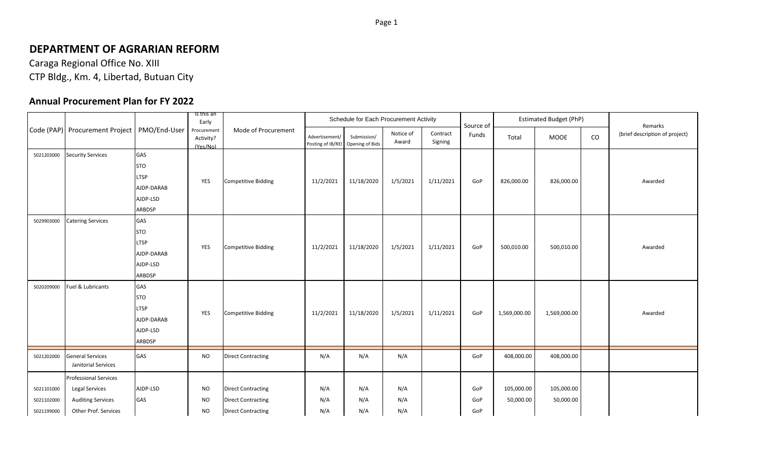## **DEPARTMENT OF AGRARIAN REFORM**

Caraga Regional Office No. XIII CTP Bldg., Km. 4, Libertad, Butuan City

## **Annual Procurement Plan for FY 2022**

|            |                                               | Is this an<br>Schedule for Each Procurement Activity<br>Early |                                      |                            |                                     |                                |                    | Source of           |       | <b>Estimated Budget (PhP)</b> |              | Remarks |                                |
|------------|-----------------------------------------------|---------------------------------------------------------------|--------------------------------------|----------------------------|-------------------------------------|--------------------------------|--------------------|---------------------|-------|-------------------------------|--------------|---------|--------------------------------|
|            | Code (PAP) Procurement Project   PMO/End-User |                                                               | Procurement<br>Activity?<br>(Yes/No) | Mode of Procurement        | Advertisement/<br>Posting of IB/REI | Submission/<br>Opening of Bids | Notice of<br>Award | Contract<br>Signing | Funds | Total                         | <b>MOOE</b>  | CO      | (brief description of project) |
| 5021203000 | <b>Security Services</b>                      | GAS                                                           |                                      |                            |                                     |                                |                    |                     |       |                               |              |         |                                |
|            |                                               | <b>STO</b>                                                    |                                      |                            |                                     |                                |                    |                     |       |                               |              |         |                                |
|            |                                               | <b>LTSP</b>                                                   | YES                                  | <b>Competitive Bidding</b> | 11/2/2021                           | 11/18/2020                     | 1/5/2021           | 1/11/2021           | GoP   | 826,000.00                    | 826,000.00   |         | Awarded                        |
|            |                                               | AJDP-DARAB                                                    |                                      |                            |                                     |                                |                    |                     |       |                               |              |         |                                |
|            |                                               | AJDP-LSD                                                      |                                      |                            |                                     |                                |                    |                     |       |                               |              |         |                                |
|            |                                               | ARBDSP                                                        |                                      |                            |                                     |                                |                    |                     |       |                               |              |         |                                |
| 5029903000 | <b>Catering Services</b>                      | GAS                                                           |                                      |                            |                                     |                                |                    |                     |       |                               |              |         |                                |
|            |                                               | <b>STO</b>                                                    |                                      |                            |                                     |                                |                    |                     |       |                               |              |         |                                |
|            |                                               | <b>LTSP</b>                                                   | YES                                  | <b>Competitive Bidding</b> | 11/2/2021                           | 11/18/2020                     | 1/5/2021           | 1/11/2021           | GoP   | 500,010.00                    | 500,010.00   |         | Awarded                        |
|            |                                               | AJDP-DARAB                                                    |                                      |                            |                                     |                                |                    |                     |       |                               |              |         |                                |
|            |                                               | AJDP-LSD                                                      |                                      |                            |                                     |                                |                    |                     |       |                               |              |         |                                |
|            |                                               | ARBDSP                                                        |                                      |                            |                                     |                                |                    |                     |       |                               |              |         |                                |
| 5020209000 | Fuel & Lubricants                             | GAS                                                           |                                      |                            |                                     |                                |                    |                     |       |                               |              |         |                                |
|            |                                               | <b>STO</b>                                                    |                                      |                            |                                     |                                |                    |                     |       |                               |              |         |                                |
|            |                                               | <b>LTSP</b>                                                   |                                      |                            |                                     |                                |                    |                     |       |                               |              |         |                                |
|            |                                               | AJDP-DARAB                                                    | YES                                  | <b>Competitive Bidding</b> | 11/2/2021                           | 11/18/2020                     | 1/5/2021           | 1/11/2021           | GoP   | 1,569,000.00                  | 1,569,000.00 |         | Awarded                        |
|            |                                               | AJDP-LSD                                                      |                                      |                            |                                     |                                |                    |                     |       |                               |              |         |                                |
|            |                                               | <b>ARBDSP</b>                                                 |                                      |                            |                                     |                                |                    |                     |       |                               |              |         |                                |
| 5021202000 | <b>General Services</b>                       | GAS                                                           | <b>NO</b>                            | <b>Direct Contracting</b>  | N/A                                 | N/A                            | N/A                |                     | GoP   | 408,000.00                    | 408,000.00   |         |                                |
|            | Janitorial Services                           |                                                               |                                      |                            |                                     |                                |                    |                     |       |                               |              |         |                                |
|            | <b>Professional Services</b>                  |                                                               |                                      |                            |                                     |                                |                    |                     |       |                               |              |         |                                |
| 5021101000 | Legal Services                                | AJDP-LSD                                                      | <b>NO</b>                            | <b>Direct Contracting</b>  | N/A                                 | N/A                            | N/A                |                     | GoP   | 105,000.00                    | 105,000.00   |         |                                |
| 5021102000 | <b>Auditing Services</b>                      | GAS                                                           | <b>NO</b>                            | <b>Direct Contracting</b>  | N/A                                 | N/A                            | N/A                |                     | GoP   | 50,000.00                     | 50,000.00    |         |                                |
| 5021199000 | Other Prof. Services                          |                                                               | <b>NO</b>                            | <b>Direct Contracting</b>  | N/A                                 | N/A                            | N/A                |                     | GoP   |                               |              |         |                                |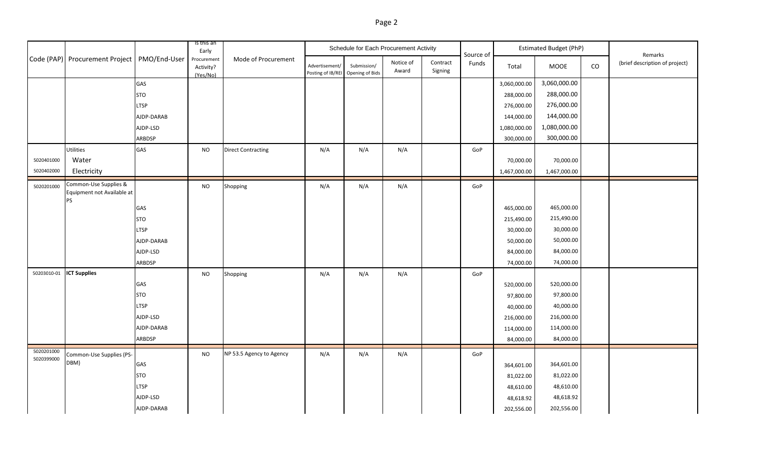|--|--|

|                          |                                                                  |             | Is this an<br>Early                                         |                           |                                                     | Schedule for Each Procurement Activity |                    |                     | Source of | <b>Estimated Budget (PhP)</b> |              | Remarks<br>(brief description of project) |                 |
|--------------------------|------------------------------------------------------------------|-------------|-------------------------------------------------------------|---------------------------|-----------------------------------------------------|----------------------------------------|--------------------|---------------------|-----------|-------------------------------|--------------|-------------------------------------------|-----------------|
|                          | Code (PAP) Procurement Project   PMO/End-User                    |             | Mode of Procurement<br>Procurement<br>Activity?<br>(Yes/No) |                           | Advertisement/<br>Posting of IB/REI Opening of Bids | Submission/                            | Notice of<br>Award | Contract<br>Signing | Funds     | Total                         | MOOE         |                                           | $\mathsf{co}\,$ |
|                          |                                                                  | GAS         |                                                             |                           |                                                     |                                        |                    |                     |           | 3,060,000.00                  | 3,060,000.00 |                                           |                 |
|                          |                                                                  | <b>STO</b>  |                                                             |                           |                                                     |                                        |                    |                     |           | 288,000.00                    | 288,000.00   |                                           |                 |
|                          |                                                                  | <b>LTSP</b> |                                                             |                           |                                                     |                                        |                    |                     |           | 276,000.00                    | 276,000.00   |                                           |                 |
|                          |                                                                  | AJDP-DARAB  |                                                             |                           |                                                     |                                        |                    |                     |           | 144,000.00                    | 144,000.00   |                                           |                 |
|                          |                                                                  | AJDP-LSD    |                                                             |                           |                                                     |                                        |                    |                     |           | 1,080,000.00                  | 1,080,000.00 |                                           |                 |
|                          |                                                                  | ARBDSP      |                                                             |                           |                                                     |                                        |                    |                     |           | 300,000.00                    | 300,000.00   |                                           |                 |
|                          | Utilities                                                        | GAS         | <b>NO</b>                                                   | <b>Direct Contracting</b> | N/A                                                 | N/A                                    | N/A                |                     | GoP       |                               |              |                                           |                 |
| 5020401000               | Water                                                            |             |                                                             |                           |                                                     |                                        |                    |                     |           | 70,000.00                     | 70,000.00    |                                           |                 |
| 5020402000               | Electricity                                                      |             |                                                             |                           |                                                     |                                        |                    |                     |           | 1,467,000.00                  | 1,467,000.00 |                                           |                 |
| 5020201000               | Common-Use Supplies &<br>Equipment not Available at<br><b>PS</b> |             | <b>NO</b>                                                   | Shopping                  | N/A                                                 | N/A                                    | N/A                |                     | GoP       |                               |              |                                           |                 |
|                          |                                                                  | GAS         |                                                             |                           |                                                     |                                        |                    |                     |           | 465,000.00                    | 465,000.00   |                                           |                 |
|                          |                                                                  | <b>STO</b>  |                                                             |                           |                                                     |                                        |                    |                     |           | 215,490.00                    | 215,490.00   |                                           |                 |
|                          |                                                                  | LTSP        |                                                             |                           |                                                     |                                        |                    |                     |           | 30,000.00                     | 30,000.00    |                                           |                 |
|                          |                                                                  | AJDP-DARAB  |                                                             |                           |                                                     |                                        |                    |                     |           | 50,000.00                     | 50,000.00    |                                           |                 |
|                          |                                                                  | AJDP-LSD    |                                                             |                           |                                                     |                                        |                    |                     |           | 84,000.00                     | 84,000.00    |                                           |                 |
|                          |                                                                  | ARBDSP      |                                                             |                           |                                                     |                                        |                    |                     |           | 74,000.00                     | 74,000.00    |                                           |                 |
| 50203010-01              | <b>ICT Supplies</b>                                              |             | <b>NO</b>                                                   | Shopping                  | N/A                                                 | N/A                                    | N/A                |                     | GoP       |                               |              |                                           |                 |
|                          |                                                                  | GAS         |                                                             |                           |                                                     |                                        |                    |                     |           | 520,000.00                    | 520,000.00   |                                           |                 |
|                          |                                                                  | <b>STO</b>  |                                                             |                           |                                                     |                                        |                    |                     |           | 97,800.00                     | 97,800.00    |                                           |                 |
|                          |                                                                  | <b>LTSP</b> |                                                             |                           |                                                     |                                        |                    |                     |           | 40,000.00                     | 40,000.00    |                                           |                 |
|                          |                                                                  | AJDP-LSD    |                                                             |                           |                                                     |                                        |                    |                     |           | 216,000.00                    | 216,000.00   |                                           |                 |
|                          |                                                                  | AJDP-DARAB  |                                                             |                           |                                                     |                                        |                    |                     |           | 114,000.00                    | 114,000.00   |                                           |                 |
|                          |                                                                  | ARBDSP      |                                                             |                           |                                                     |                                        |                    |                     |           | 84,000.00                     | 84,000.00    |                                           |                 |
| 5020201000<br>5020399000 | Common-Use Supplies (PS-                                         |             | <b>NO</b>                                                   | NP 53.5 Agency to Agency  | N/A                                                 | N/A                                    | N/A                |                     | GoP       |                               |              |                                           |                 |
|                          | DBM)                                                             | GAS         |                                                             |                           |                                                     |                                        |                    |                     |           | 364,601.00                    | 364,601.00   |                                           |                 |
|                          |                                                                  | <b>STO</b>  |                                                             |                           |                                                     |                                        |                    |                     |           | 81,022.00                     | 81,022.00    |                                           |                 |
|                          |                                                                  | <b>LTSP</b> |                                                             |                           |                                                     |                                        |                    |                     |           | 48,610.00                     | 48,610.00    |                                           |                 |
|                          |                                                                  | AJDP-LSD    |                                                             |                           |                                                     |                                        |                    |                     |           | 48,618.92                     | 48,618.92    |                                           |                 |
|                          |                                                                  | AJDP-DARAB  |                                                             |                           |                                                     |                                        |                    |                     |           | 202,556.00                    | 202,556.00   |                                           |                 |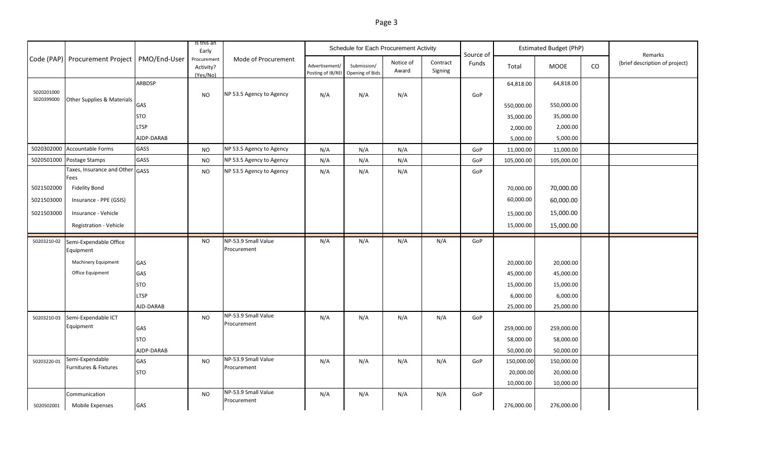| н |  |
|---|--|
|---|--|

|                          |                                               |             | Is this an<br>Early                  |                                    |                                     | Schedule for Each Procurement Activity |                    |                     | Source of |            | <b>Estimated Budget (PhP)</b> |    | Remarks                        |
|--------------------------|-----------------------------------------------|-------------|--------------------------------------|------------------------------------|-------------------------------------|----------------------------------------|--------------------|---------------------|-----------|------------|-------------------------------|----|--------------------------------|
|                          | Code (PAP) Procurement Project   PMO/End-User |             | Procurement<br>Activity?<br>(Yes/No) | Mode of Procurement                | Advertisement/<br>Posting of IB/REI | Submission/<br>Opening of Bids         | Notice of<br>Award | Contract<br>Signing | Funds     | Total      | MOOE                          | CO | (brief description of project) |
|                          |                                               | ARBDSP      |                                      |                                    |                                     |                                        |                    |                     |           | 64,818.00  | 64,818.00                     |    |                                |
| 5020201000<br>5020399000 | Other Supplies & Materials                    |             | <b>NO</b>                            | NP 53.5 Agency to Agency           | N/A                                 | N/A                                    | N/A                |                     | GoP       |            |                               |    |                                |
|                          |                                               | GAS         |                                      |                                    |                                     |                                        |                    |                     |           | 550,000.00 | 550,000.00                    |    |                                |
|                          |                                               | <b>STO</b>  |                                      |                                    |                                     |                                        |                    |                     |           | 35,000.00  | 35,000.00                     |    |                                |
|                          |                                               | LTSP        |                                      |                                    |                                     |                                        |                    |                     |           | 2,000.00   | 2,000.00                      |    |                                |
|                          |                                               | AJDP-DARAB  |                                      |                                    |                                     |                                        |                    |                     |           | 5,000.00   | 5,000.00                      |    |                                |
| 5020302000               | <b>Accountable Forms</b>                      | GASS        | <b>NO</b>                            | NP 53.5 Agency to Agency           | N/A                                 | N/A                                    | N/A                |                     | GoP       | 11,000.00  | 11,000.00                     |    |                                |
| 5020501000               | Postage Stamps                                | GASS        | <b>NO</b>                            | NP 53.5 Agency to Agency           | N/A                                 | N/A                                    | N/A                |                     | GoP       | 105,000.00 | 105,000.00                    |    |                                |
|                          | Taxes, Insurance and Other GASS<br>Fees       |             | <b>NO</b>                            | NP 53.5 Agency to Agency           | N/A                                 | N/A                                    | N/A                |                     | GoP       |            |                               |    |                                |
| 5021502000               | <b>Fidelity Bond</b>                          |             |                                      |                                    |                                     |                                        |                    |                     |           | 70,000.00  | 70,000.00                     |    |                                |
| 5021503000               | Insurance - PPE (GSIS)                        |             |                                      |                                    |                                     |                                        |                    |                     |           | 60,000.00  | 60,000.00                     |    |                                |
|                          |                                               |             |                                      |                                    |                                     |                                        |                    |                     |           |            |                               |    |                                |
| 5021503000               | Insurance - Vehicle                           |             |                                      |                                    |                                     |                                        |                    |                     |           | 15,000.00  | 15,000.00                     |    |                                |
|                          | Registration - Vehicle                        |             |                                      |                                    |                                     |                                        |                    |                     |           | 15,000.00  | 15,000.00                     |    |                                |
| 50203210-02              | Semi-Expendable Office                        |             | NO.                                  | NP-53.9 Small Value                | N/A                                 | N/A                                    | N/A                | N/A                 | GoP       |            |                               |    |                                |
|                          | Equipment                                     |             |                                      | Procurement                        |                                     |                                        |                    |                     |           |            |                               |    |                                |
|                          | Machinery Equipment                           | GAS         |                                      |                                    |                                     |                                        |                    |                     |           | 20,000.00  | 20,000.00                     |    |                                |
|                          | Office Equipment                              | GAS         |                                      |                                    |                                     |                                        |                    |                     |           | 45,000.00  | 45,000.00                     |    |                                |
|                          |                                               | <b>STO</b>  |                                      |                                    |                                     |                                        |                    |                     |           | 15,000.00  | 15,000.00                     |    |                                |
|                          |                                               | <b>LTSP</b> |                                      |                                    |                                     |                                        |                    |                     |           | 6,000.00   | 6,000.00                      |    |                                |
|                          |                                               | AJD-DARAB   |                                      |                                    |                                     |                                        |                    |                     |           | 25,000.00  | 25,000.00                     |    |                                |
| 50203210-03              | Semi-Expendable ICT                           |             | NO                                   | NP-53.9 Small Value<br>Procurement | N/A                                 | N/A                                    | N/A                | N/A                 | GoP       |            |                               |    |                                |
|                          | Equipment                                     | GAS         |                                      |                                    |                                     |                                        |                    |                     |           | 259,000.00 | 259,000.00                    |    |                                |
|                          |                                               | <b>STO</b>  |                                      |                                    |                                     |                                        |                    |                     |           | 58,000.00  | 58,000.00                     |    |                                |
|                          |                                               | AJDP-DARAB  |                                      |                                    |                                     |                                        |                    |                     |           | 50,000.00  | 50,000.00                     |    |                                |
| 50203220-01              | Semi-Expendable<br>Furnitures & Fixtures      | GAS         | <b>NO</b>                            | NP-53.9 Small Value<br>Procurement | N/A                                 | N/A                                    | N/A                | N/A                 | GoP       | 150,000.00 | 150,000.00                    |    |                                |
|                          |                                               | <b>STO</b>  |                                      |                                    |                                     |                                        |                    |                     |           | 20,000.00  | 20,000.00                     |    |                                |
|                          |                                               |             |                                      |                                    |                                     |                                        |                    |                     |           | 10,000.00  | 10,000.00                     |    |                                |
|                          | Communication                                 |             | <b>NO</b>                            | NP-53.9 Small Value<br>Procurement | N/A                                 | N/A                                    | N/A                | N/A                 | GoP       |            |                               |    |                                |
| 5020502001               | Mobile Expenses                               | GAS         |                                      |                                    |                                     |                                        |                    |                     |           | 276,000.00 | 276,000.00                    |    |                                |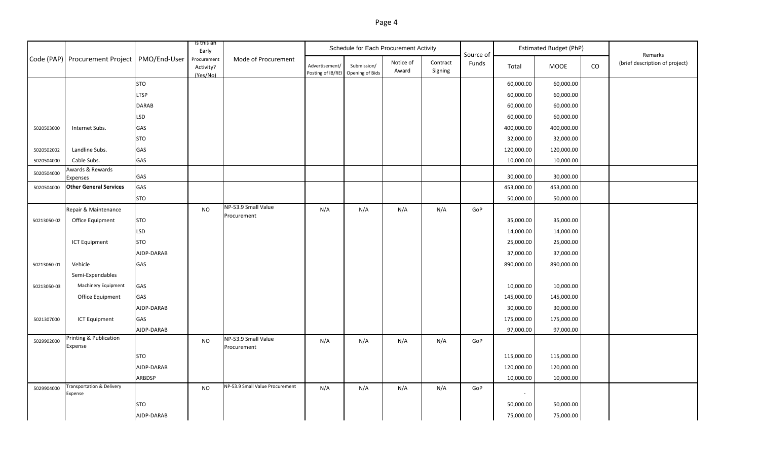## Page 4

|             |                                               |               | Is this an<br>Early                  |                                 |                                     | Schedule for Each Procurement Activity |                    |                     |                    |            | <b>Estimated Budget (PhP)</b> |    |                                           |
|-------------|-----------------------------------------------|---------------|--------------------------------------|---------------------------------|-------------------------------------|----------------------------------------|--------------------|---------------------|--------------------|------------|-------------------------------|----|-------------------------------------------|
|             | Code (PAP) Procurement Project   PMO/End-User |               | Procurement<br>Activity?<br>(Yes/No) | Mode of Procurement             | Advertisement/<br>Posting of IB/REI | Submission/<br>Opening of Bids         | Notice of<br>Award | Contract<br>Signing | Source of<br>Funds | Total      | MOOE                          | CO | Remarks<br>(brief description of project) |
|             |                                               | <b>STO</b>    |                                      |                                 |                                     |                                        |                    |                     |                    | 60,000.00  | 60,000.00                     |    |                                           |
|             |                                               | <b>LTSP</b>   |                                      |                                 |                                     |                                        |                    |                     |                    | 60,000.00  | 60,000.00                     |    |                                           |
|             |                                               | <b>DARAB</b>  |                                      |                                 |                                     |                                        |                    |                     |                    | 60,000.00  | 60,000.00                     |    |                                           |
|             |                                               | <b>LSD</b>    |                                      |                                 |                                     |                                        |                    |                     |                    | 60,000.00  | 60,000.00                     |    |                                           |
| 5020503000  | Internet Subs.                                | GAS           |                                      |                                 |                                     |                                        |                    |                     |                    | 400,000.00 | 400,000.00                    |    |                                           |
|             |                                               | STO           |                                      |                                 |                                     |                                        |                    |                     |                    | 32,000.00  | 32,000.00                     |    |                                           |
| 5020502002  | Landline Subs.                                | GAS           |                                      |                                 |                                     |                                        |                    |                     |                    | 120,000.00 | 120,000.00                    |    |                                           |
| 5020504000  | Cable Subs.                                   | GAS           |                                      |                                 |                                     |                                        |                    |                     |                    | 10,000.00  | 10,000.00                     |    |                                           |
| 5020504000  | Awards & Rewards                              | <b>GAS</b>    |                                      |                                 |                                     |                                        |                    |                     |                    | 30,000.00  | 30,000.00                     |    |                                           |
| 5020504000  | Expenses<br><b>Other General Services</b>     | GAS           |                                      |                                 |                                     |                                        |                    |                     |                    | 453,000.00 | 453,000.00                    |    |                                           |
|             |                                               | <b>STO</b>    |                                      |                                 |                                     |                                        |                    |                     |                    | 50,000.00  | 50,000.00                     |    |                                           |
|             | Repair & Maintenance                          |               | <b>NO</b>                            | NP-53.9 Small Value             | N/A                                 | N/A                                    | N/A                | N/A                 | GoP                |            |                               |    |                                           |
| 50213050-02 | Office Equipment                              | <b>STO</b>    |                                      | Procurement                     |                                     |                                        |                    |                     |                    | 35,000.00  | 35,000.00                     |    |                                           |
|             |                                               | <b>LSD</b>    |                                      |                                 |                                     |                                        |                    |                     |                    | 14,000.00  | 14,000.00                     |    |                                           |
|             | <b>ICT Equipment</b>                          | <b>STO</b>    |                                      |                                 |                                     |                                        |                    |                     |                    | 25,000.00  | 25,000.00                     |    |                                           |
|             |                                               | AJDP-DARAB    |                                      |                                 |                                     |                                        |                    |                     |                    | 37,000.00  | 37,000.00                     |    |                                           |
| 50213060-01 | Vehicle                                       | GAS           |                                      |                                 |                                     |                                        |                    |                     |                    | 890,000.00 | 890,000.00                    |    |                                           |
|             | Semi-Expendables                              |               |                                      |                                 |                                     |                                        |                    |                     |                    |            |                               |    |                                           |
| 50213050-03 | Machinery Equipment                           | GAS           |                                      |                                 |                                     |                                        |                    |                     |                    | 10,000.00  | 10,000.00                     |    |                                           |
|             | Office Equipment                              | GAS           |                                      |                                 |                                     |                                        |                    |                     |                    | 145,000.00 | 145,000.00                    |    |                                           |
|             |                                               | AJDP-DARAB    |                                      |                                 |                                     |                                        |                    |                     |                    | 30,000.00  | 30,000.00                     |    |                                           |
| 5021307000  | <b>ICT Equipment</b>                          | GAS           |                                      |                                 |                                     |                                        |                    |                     |                    | 175,000.00 | 175,000.00                    |    |                                           |
|             |                                               | AJDP-DARAB    |                                      |                                 |                                     |                                        |                    |                     |                    | 97,000.00  | 97,000.00                     |    |                                           |
| 5029902000  | Printing & Publication                        |               | <b>NO</b>                            | NP-53.9 Small Value             | N/A                                 | N/A                                    | N/A                | N/A                 | GoP                |            |                               |    |                                           |
|             | Expense                                       |               |                                      | Procurement                     |                                     |                                        |                    |                     |                    |            |                               |    |                                           |
|             |                                               | <b>STO</b>    |                                      |                                 |                                     |                                        |                    |                     |                    | 115,000.00 | 115,000.00                    |    |                                           |
|             |                                               | AJDP-DARAB    |                                      |                                 |                                     |                                        |                    |                     |                    | 120,000.00 | 120,000.00                    |    |                                           |
|             | <b>Transportation &amp; Delivery</b>          | <b>ARBDSP</b> |                                      | NP-53.9 Small Value Procurement |                                     |                                        |                    |                     |                    | 10,000.00  | 10,000.00                     |    |                                           |
| 5029904000  | Expense                                       |               | <b>NO</b>                            |                                 | N/A                                 | N/A                                    | N/A                | N/A                 | GoP                |            |                               |    |                                           |
|             |                                               | STO           |                                      |                                 |                                     |                                        |                    |                     |                    | 50,000.00  | 50,000.00                     |    |                                           |
|             |                                               | AJDP-DARAB    |                                      |                                 |                                     |                                        |                    |                     |                    | 75,000.00  | 75,000.00                     |    |                                           |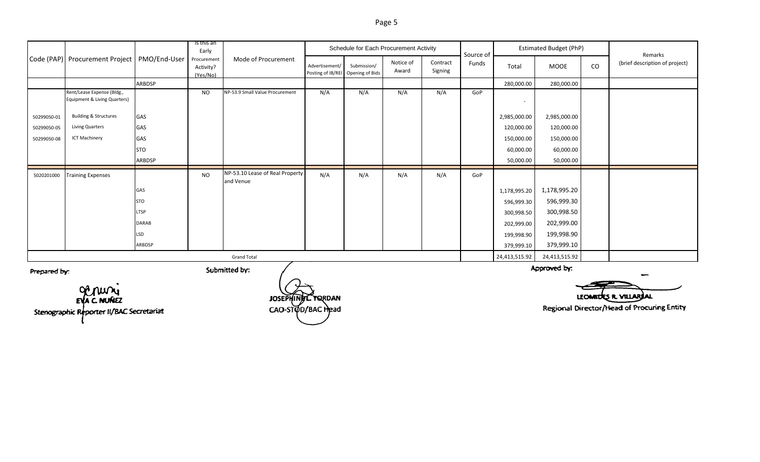|              |                                                            |               | Is this an<br>Early                  |                                              |                | Schedule for Each Procurement Activity           |                    |                     | Source of |              | <b>Estimated Budget (PhP)</b> |    | Remarks<br>(brief description of project) |
|--------------|------------------------------------------------------------|---------------|--------------------------------------|----------------------------------------------|----------------|--------------------------------------------------|--------------------|---------------------|-----------|--------------|-------------------------------|----|-------------------------------------------|
|              | Code (PAP) Procurement Project   PMO/End-User              |               | Procurement<br>Activity?<br>(Yes/No) | Mode of Procurement                          | Advertisement/ | Submission/<br>Posting of IB/REI Opening of Bids | Notice of<br>Award | Contract<br>Signing | Funds     | Total        | MOOE                          | CO |                                           |
|              |                                                            | <b>ARBDSP</b> |                                      |                                              |                |                                                  |                    |                     |           | 280,000.00   | 280,000.00                    |    |                                           |
|              | Rent/Lease Expense (Bldg.,<br>Equipment & Living Quarters) |               | <b>NO</b>                            | NP-53.9 Small Value Procurement              | N/A            | N/A                                              | N/A                | N/A                 | GoP       |              |                               |    |                                           |
| 50299050-01  | <b>Building &amp; Structures</b>                           | GAS           |                                      |                                              |                |                                                  |                    |                     |           | 2,985,000.00 | 2,985,000.00                  |    |                                           |
| 50299050-05  | <b>Living Quarters</b>                                     | GAS           |                                      |                                              |                |                                                  |                    |                     |           | 120,000.00   | 120,000.00                    |    |                                           |
| 50299050-08  | <b>ICT Machinery</b>                                       | GAS           |                                      |                                              |                |                                                  |                    |                     |           | 150,000.00   | 150,000.00                    |    |                                           |
|              |                                                            | <b>STO</b>    |                                      |                                              |                |                                                  |                    |                     |           | 60,000.00    | 60,000.00                     |    |                                           |
|              |                                                            | <b>ARBDSP</b> |                                      |                                              |                |                                                  |                    |                     |           | 50,000.00    | 50,000.00                     |    |                                           |
| 5020201000   | <b>Training Expenses</b>                                   |               | <b>NO</b>                            | NP-53.10 Lease of Real Property<br>and Venue | N/A            | N/A                                              | N/A                | N/A                 | GoP       |              |                               |    |                                           |
|              |                                                            | GAS           |                                      |                                              |                |                                                  |                    |                     |           | 1,178,995.20 | 1,178,995.20                  |    |                                           |
|              |                                                            | <b>STO</b>    |                                      |                                              |                |                                                  |                    |                     |           | 596,999.30   | 596,999.30                    |    |                                           |
|              |                                                            | <b>LTSP</b>   |                                      |                                              |                |                                                  |                    |                     |           | 300,998.50   | 300,998.50                    |    |                                           |
|              |                                                            | <b>DARAB</b>  |                                      |                                              |                |                                                  |                    |                     |           | 202,999.00   | 202,999.00                    |    |                                           |
|              |                                                            | LSD           |                                      |                                              |                |                                                  |                    |                     |           | 199,998.90   | 199,998.90                    |    |                                           |
|              |                                                            | ARBDSP        |                                      |                                              |                |                                                  |                    |                     |           | 379,999.10   | 379,999.10                    |    |                                           |
|              |                                                            |               |                                      |                                              | 24,413,515.92  | 24,413,515.92                                    |                    |                     |           |              |                               |    |                                           |
| Prepared by: |                                                            |               |                                      | Submitted by:                                |                |                                                  |                    |                     |           |              | Approved by:                  |    |                                           |

OCTUVY Stenographic Reporter II/BAC Secretariat

JOSEPHING CYQRDAN CAO-STOD/BAC Head

LEOMOLES R. VILLARIAL

Regional Director/Head of Procuring Entity